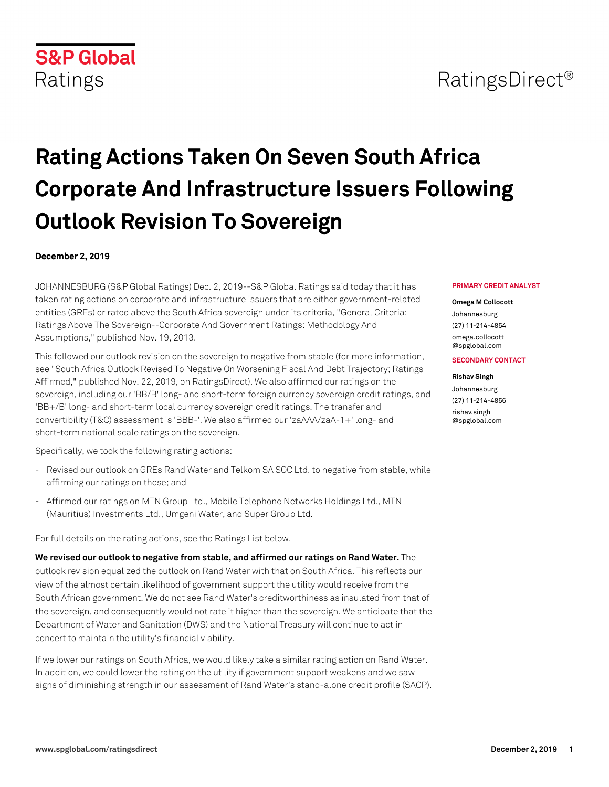# RatingsDirect<sup>®</sup>

# **Rating Actions Taken On Seven South Africa Corporate And Infrastructure Issuers Following Outlook Revision To Sovereign**

#### **December 2, 2019**

JOHANNESBURG (S&P Global Ratings) Dec. 2, 2019--S&P Global Ratings said today that it has taken rating actions on corporate and infrastructure issuers that are either government-related entities (GREs) or rated above the South Africa sovereign under its criteria, "General Criteria: Ratings Above The Sovereign--Corporate And Government Ratings: Methodology And Assumptions," published Nov. 19, 2013.

This followed our outlook revision on the sovereign to negative from stable (for more information, see "South Africa Outlook Revised To Negative On Worsening Fiscal And Debt Trajectory; Ratings Affirmed," published Nov. 22, 2019, on RatingsDirect). We also affirmed our ratings on the sovereign, including our 'BB/B' long- and short-term foreign currency sovereign credit ratings, and 'BB+/B' long- and short-term local currency sovereign credit ratings. The transfer and convertibility (T&C) assessment is 'BBB-'. We also affirmed our 'zaAAA/zaA-1+' long- and short-term national scale ratings on the sovereign.

Specifically, we took the following rating actions:

- Revised our outlook on GREs Rand Water and Telkom SA SOC Ltd. to negative from stable, while affirming our ratings on these; and
- Affirmed our ratings on MTN Group Ltd., Mobile Telephone Networks Holdings Ltd., MTN (Mauritius) Investments Ltd., Umgeni Water, and Super Group Ltd.

For full details on the rating actions, see the Ratings List below.

**We revised our outlook to negative from stable, and affirmed our ratings on Rand Water.** The outlook revision equalized the outlook on Rand Water with that on South Africa. This reflects our view of the almost certain likelihood of government support the utility would receive from the South African government. We do not see Rand Water's creditworthiness as insulated from that of the sovereign, and consequently would not rate it higher than the sovereign. We anticipate that the Department of Water and Sanitation (DWS) and the National Treasury will continue to act in concert to maintain the utility's financial viability.

If we lower our ratings on South Africa, we would likely take a similar rating action on Rand Water. In addition, we could lower the rating on the utility if government support weakens and we saw signs of diminishing strength in our assessment of Rand Water's stand-alone credit profile (SACP).

#### **PRIMARY CREDIT ANALYST**

#### **Omega M Collocott**

Johannesburg (27) 11-214-4854 [omega.collocott](mailto: omega.collocott@spglobal.com) [@spglobal.com](mailto: omega.collocott@spglobal.com)

#### **SECONDARY CONTACT**

# **Rishav Singh**

Johannesburg (27) 11-214-4856 [rishav.singh](mailto: rishav.singh@spglobal.com) [@spglobal.com](mailto: rishav.singh@spglobal.com)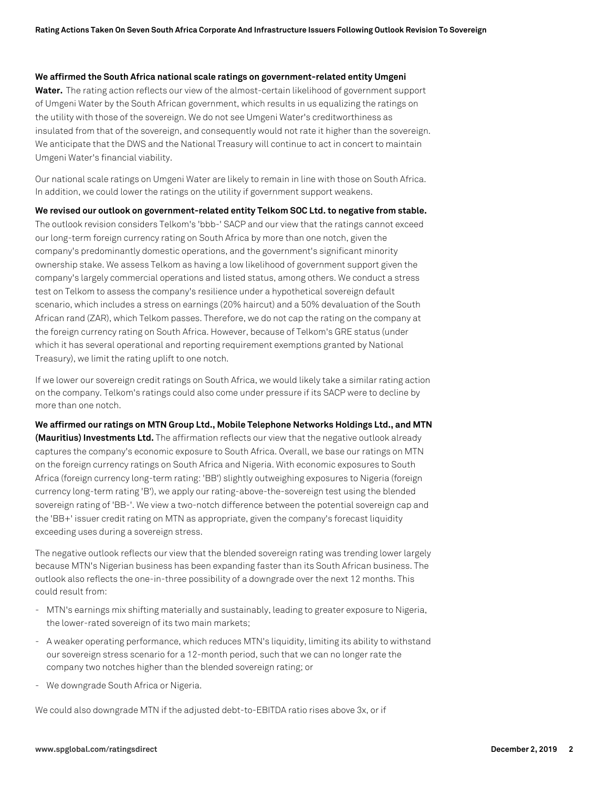#### **We affirmed the South Africa national scale ratings on government-related entity Umgeni**

**Water.** The rating action reflects our view of the almost-certain likelihood of government support of Umgeni Water by the South African government, which results in us equalizing the ratings on the utility with those of the sovereign. We do not see Umgeni Water's creditworthiness as insulated from that of the sovereign, and consequently would not rate it higher than the sovereign. We anticipate that the DWS and the National Treasury will continue to act in concert to maintain Umgeni Water's financial viability.

Our national scale ratings on Umgeni Water are likely to remain in line with those on South Africa. In addition, we could lower the ratings on the utility if government support weakens.

**We revised our outlook on government-related entity Telkom SOC Ltd. to negative from stable.** The outlook revision considers Telkom's 'bbb-' SACP and our view that the ratings cannot exceed our long-term foreign currency rating on South Africa by more than one notch, given the company's predominantly domestic operations, and the government's significant minority ownership stake. We assess Telkom as having a low likelihood of government support given the company's largely commercial operations and listed status, among others. We conduct a stress test on Telkom to assess the company's resilience under a hypothetical sovereign default scenario, which includes a stress on earnings (20% haircut) and a 50% devaluation of the South African rand (ZAR), which Telkom passes. Therefore, we do not cap the rating on the company at the foreign currency rating on South Africa. However, because of Telkom's GRE status (under which it has several operational and reporting requirement exemptions granted by National Treasury), we limit the rating uplift to one notch.

If we lower our sovereign credit ratings on South Africa, we would likely take a similar rating action on the company. Telkom's ratings could also come under pressure if its SACP were to decline by more than one notch.

**We affirmed our ratings on MTN Group Ltd., Mobile Telephone Networks Holdings Ltd., and MTN (Mauritius) Investments Ltd.** The affirmation reflects our view that the negative outlook already captures the company's economic exposure to South Africa. Overall, we base our ratings on MTN on the foreign currency ratings on South Africa and Nigeria. With economic exposures to South Africa (foreign currency long-term rating: 'BB') slightly outweighing exposures to Nigeria (foreign currency long-term rating 'B'), we apply our rating-above-the-sovereign test using the blended sovereign rating of 'BB-'. We view a two-notch difference between the potential sovereign cap and the 'BB+' issuer credit rating on MTN as appropriate, given the company's forecast liquidity exceeding uses during a sovereign stress.

The negative outlook reflects our view that the blended sovereign rating was trending lower largely because MTN's Nigerian business has been expanding faster than its South African business. The outlook also reflects the one-in-three possibility of a downgrade over the next 12 months. This could result from:

- MTN's earnings mix shifting materially and sustainably, leading to greater exposure to Nigeria, the lower-rated sovereign of its two main markets;
- A weaker operating performance, which reduces MTN's liquidity, limiting its ability to withstand our sovereign stress scenario for a 12-month period, such that we can no longer rate the company two notches higher than the blended sovereign rating; or
- We downgrade South Africa or Nigeria.

We could also downgrade MTN if the adjusted debt-to-EBITDA ratio rises above 3x, or if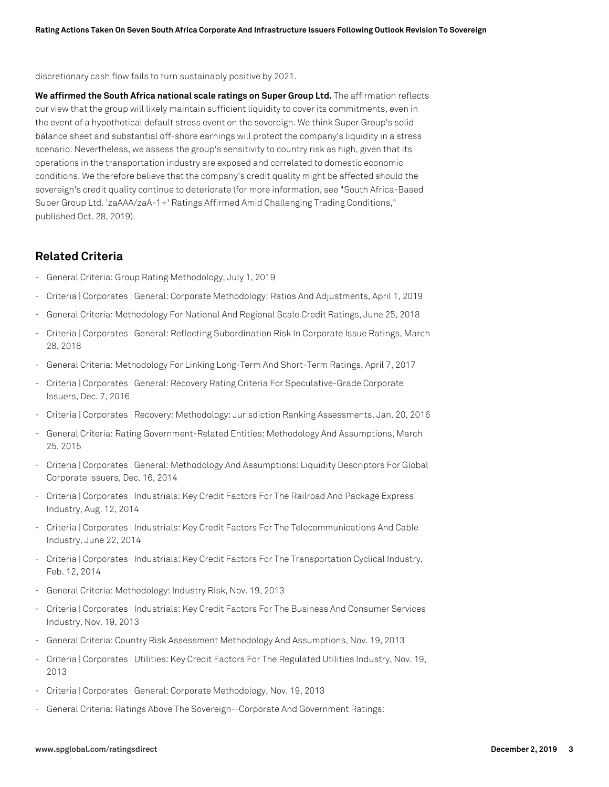discretionary cash flow fails to turn sustainably positive by 2021.

**We affirmed the South Africa national scale ratings on Super Group Ltd.** The affirmation reflects our view that the group will likely maintain sufficient liquidity to cover its commitments, even in the event of a hypothetical default stress event on the sovereign. We think Super Group's solid balance sheet and substantial off-shore earnings will protect the company's liquidity in a stress scenario. Nevertheless, we assess the group's sensitivity to country risk as high, given that its operations in the transportation industry are exposed and correlated to domestic economic conditions. We therefore believe that the company's credit quality might be affected should the sovereign's credit quality continue to deteriorate (for more information, see "South Africa-Based Super Group Ltd. 'zaAAA/zaA-1+' Ratings Affirmed Amid Challenging Trading Conditions," published Oct. 28, 2019).

# **Related Criteria**

- General Criteria: Group Rating Methodology, July 1, 2019
- Criteria | Corporates | General: Corporate Methodology: Ratios And Adjustments, April 1, 2019
- General Criteria: Methodology For National And Regional Scale Credit Ratings, June 25, 2018
- Criteria | Corporates | General: Reflecting Subordination Risk In Corporate Issue Ratings, March 28, 2018
- General Criteria: Methodology For Linking Long-Term And Short-Term Ratings, April 7, 2017
- Criteria | Corporates | General: Recovery Rating Criteria For Speculative-Grade Corporate Issuers, Dec. 7, 2016
- Criteria | Corporates | Recovery: Methodology: Jurisdiction Ranking Assessments, Jan. 20, 2016
- General Criteria: Rating Government-Related Entities: Methodology And Assumptions, March 25, 2015
- Criteria | Corporates | General: Methodology And Assumptions: Liquidity Descriptors For Global Corporate Issuers, Dec. 16, 2014
- Criteria | Corporates | Industrials: Key Credit Factors For The Railroad And Package Express Industry, Aug. 12, 2014
- Criteria | Corporates | Industrials: Key Credit Factors For The Telecommunications And Cable Industry, June 22, 2014
- Criteria | Corporates | Industrials: Key Credit Factors For The Transportation Cyclical Industry, Feb. 12, 2014
- General Criteria: Methodology: Industry Risk, Nov. 19, 2013
- Criteria | Corporates | Industrials: Key Credit Factors For The Business And Consumer Services Industry, Nov. 19, 2013
- General Criteria: Country Risk Assessment Methodology And Assumptions, Nov. 19, 2013
- Criteria | Corporates | Utilities: Key Credit Factors For The Regulated Utilities Industry, Nov. 19, 2013
- Criteria | Corporates | General: Corporate Methodology, Nov. 19, 2013
- General Criteria: Ratings Above The Sovereign--Corporate And Government Ratings: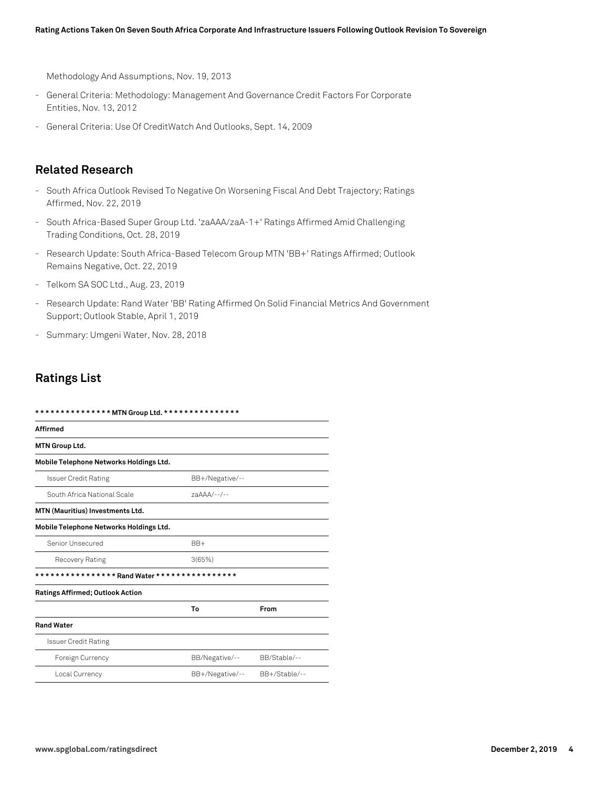Methodology And Assumptions, Nov. 19, 2013

- General Criteria: Methodology: Management And Governance Credit Factors For Corporate Entities, Nov. 13, 2012
- General Criteria: Use Of CreditWatch And Outlooks, Sept. 14, 2009

# **Related Research**

- South Africa Outlook Revised To Negative On Worsening Fiscal And Debt Trajectory; Ratings Affirmed, Nov. 22, 2019
- South Africa-Based Super Group Ltd. 'zaAAA/zaA-1+' Ratings Affirmed Amid Challenging Trading Conditions, Oct. 28, 2019
- Research Update: South Africa-Based Telecom Group MTN 'BB+' Ratings Affirmed; Outlook Remains Negative, Oct. 22, 2019
- Telkom SA SOC Ltd., Aug. 23, 2019
- Research Update: Rand Water 'BB' Rating Affirmed On Solid Financial Metrics And Government Support; Outlook Stable, April 1, 2019
- Summary: Umgeni Water, Nov. 28, 2018

# **Ratings List**

| *************** MTN Group Ltd. **************** |                 |               |
|-------------------------------------------------|-----------------|---------------|
| <b>Affirmed</b>                                 |                 |               |
| MTN Group Ltd.                                  |                 |               |
| Mobile Telephone Networks Holdings Ltd.         |                 |               |
| <b>Issuer Credit Rating</b>                     | BB+/Negative/-- |               |
| South Africa National Scale                     | 7aAAA/--/--     |               |
| <b>MTN (Mauritius) Investments Ltd.</b>         |                 |               |
| Mobile Telephone Networks Holdings Ltd.         |                 |               |
| Senior Unsecured                                | $BB+$           |               |
| Recovery Rating                                 | 3(65%)          |               |
|                                                 |                 |               |
| <b>Ratings Affirmed; Outlook Action</b>         |                 |               |
|                                                 | To              | From          |
| <b>Rand Water</b>                               |                 |               |
| <b>Issuer Credit Rating</b>                     |                 |               |
| Foreign Currency                                | BB/Negative/--  | BB/Stable/--  |
| Local Currency                                  | BB+/Negative/-- | BB+/Stable/-- |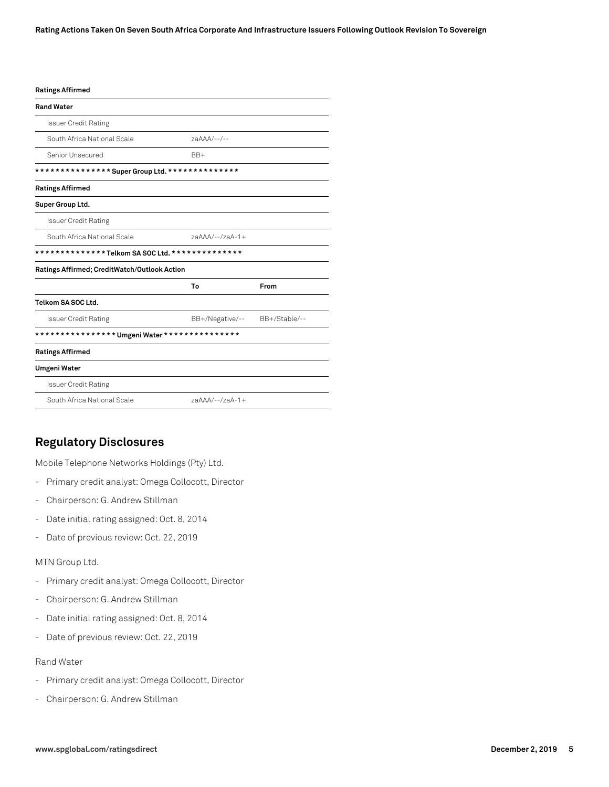#### **Ratings Affirmed**

| <b>Rand Water</b>                               |                   |               |
|-------------------------------------------------|-------------------|---------------|
| <b>Issuer Credit Rating</b>                     |                   |               |
| South Africa National Scale                     | 7aAAA/--/--       |               |
| Senior Unsecured                                | $BB+$             |               |
|                                                 |                   |               |
| <b>Ratings Affirmed</b>                         |                   |               |
| Super Group Ltd.                                |                   |               |
| <b>Issuer Credit Rating</b>                     |                   |               |
| South Africa National Scale                     | $7aAAA/--/7aA-1+$ |               |
| **************Telkom SA SOC Ltd. ************** |                   |               |
| Ratings Affirmed; CreditWatch/Outlook Action    |                   |               |
|                                                 | To                | From          |
| Telkom SA SOC Ltd.                              |                   |               |
| <b>Issuer Credit Rating</b>                     | BB+/Negative/--   | BB+/Stable/-- |
|                                                 |                   |               |
| <b>Ratings Affirmed</b>                         |                   |               |
| <b>Umgeni Water</b>                             |                   |               |
| <b>Issuer Credit Rating</b>                     |                   |               |
| South Africa National Scale                     | $7aAAA/--/7aA-1+$ |               |

# **Regulatory Disclosures**

Mobile Telephone Networks Holdings (Pty) Ltd.

- Primary credit analyst: Omega Collocott, Director
- Chairperson: G. Andrew Stillman
- Date initial rating assigned: Oct. 8, 2014
- Date of previous review: Oct. 22, 2019

#### MTN Group Ltd.

- Primary credit analyst: Omega Collocott, Director
- Chairperson: G. Andrew Stillman
- Date initial rating assigned: Oct. 8, 2014
- Date of previous review: Oct. 22, 2019

#### Rand Water

- Primary credit analyst: Omega Collocott, Director
- Chairperson: G. Andrew Stillman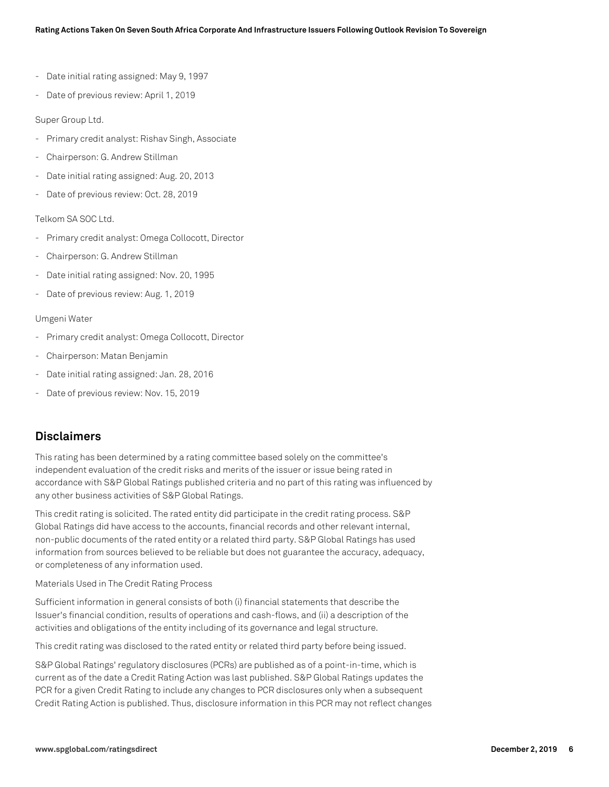- Date initial rating assigned: May 9, 1997
- Date of previous review: April 1, 2019

#### Super Group Ltd.

- Primary credit analyst: Rishav Singh, Associate
- Chairperson: G. Andrew Stillman
- Date initial rating assigned: Aug. 20, 2013
- Date of previous review: Oct. 28, 2019

#### Telkom SA SOC Ltd.

- Primary credit analyst: Omega Collocott, Director
- Chairperson: G. Andrew Stillman
- Date initial rating assigned: Nov. 20, 1995
- Date of previous review: Aug. 1, 2019

#### Umgeni Water

- Primary credit analyst: Omega Collocott, Director
- Chairperson: Matan Benjamin
- Date initial rating assigned: Jan. 28, 2016
- Date of previous review: Nov. 15, 2019

### **Disclaimers**

This rating has been determined by a rating committee based solely on the committee's independent evaluation of the credit risks and merits of the issuer or issue being rated in accordance with S&P Global Ratings published criteria and no part of this rating was influenced by any other business activities of S&P Global Ratings.

This credit rating is solicited. The rated entity did participate in the credit rating process. S&P Global Ratings did have access to the accounts, financial records and other relevant internal, non-public documents of the rated entity or a related third party. S&P Global Ratings has used information from sources believed to be reliable but does not guarantee the accuracy, adequacy, or completeness of any information used.

#### Materials Used in The Credit Rating Process

Sufficient information in general consists of both (i) financial statements that describe the Issuer's financial condition, results of operations and cash-flows, and (ii) a description of the activities and obligations of the entity including of its governance and legal structure.

This credit rating was disclosed to the rated entity or related third party before being issued.

S&P Global Ratings' regulatory disclosures (PCRs) are published as of a point-in-time, which is current as of the date a Credit Rating Action was last published. S&P Global Ratings updates the PCR for a given Credit Rating to include any changes to PCR disclosures only when a subsequent Credit Rating Action is published. Thus, disclosure information in this PCR may not reflect changes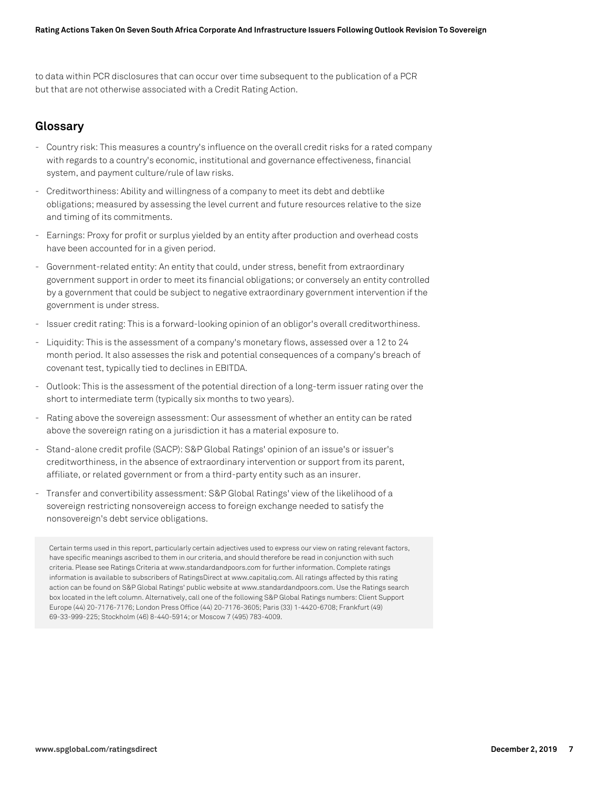to data within PCR disclosures that can occur over time subsequent to the publication of a PCR but that are not otherwise associated with a Credit Rating Action.

# **Glossary**

- Country risk: This measures a country's influence on the overall credit risks for a rated company with regards to a country's economic, institutional and governance effectiveness, financial system, and payment culture/rule of law risks.
- Creditworthiness: Ability and willingness of a company to meet its debt and debtlike obligations; measured by assessing the level current and future resources relative to the size and timing of its commitments.
- Earnings: Proxy for profit or surplus yielded by an entity after production and overhead costs have been accounted for in a given period.
- Government-related entity: An entity that could, under stress, benefit from extraordinary government support in order to meet its financial obligations; or conversely an entity controlled by a government that could be subject to negative extraordinary government intervention if the government is under stress.
- Issuer credit rating: This is a forward-looking opinion of an obligor's overall creditworthiness.
- Liquidity: This is the assessment of a company's monetary flows, assessed over a 12 to 24 month period. It also assesses the risk and potential consequences of a company's breach of covenant test, typically tied to declines in EBITDA.
- Outlook: This is the assessment of the potential direction of a long-term issuer rating over the short to intermediate term (typically six months to two years).
- Rating above the sovereign assessment: Our assessment of whether an entity can be rated above the sovereign rating on a jurisdiction it has a material exposure to.
- Stand-alone credit profile (SACP): S&P Global Ratings' opinion of an issue's or issuer's creditworthiness, in the absence of extraordinary intervention or support from its parent, affiliate, or related government or from a third-party entity such as an insurer.
- Transfer and convertibility assessment: S&P Global Ratings' view of the likelihood of a sovereign restricting nonsovereign access to foreign exchange needed to satisfy the nonsovereign's debt service obligations.

Certain terms used in this report, particularly certain adjectives used to express our view on rating relevant factors, have specific meanings ascribed to them in our criteria, and should therefore be read in conjunction with such criteria. Please see Ratings Criteria at www.standardandpoors.com for further information. Complete ratings information is available to subscribers of RatingsDirect at www.capitaliq.com. All ratings affected by this rating action can be found on S&P Global Ratings' public website at www.standardandpoors.com. Use the Ratings search box located in the left column. Alternatively, call one of the following S&P Global Ratings numbers: Client Support Europe (44) 20-7176-7176; London Press Office (44) 20-7176-3605; Paris (33) 1-4420-6708; Frankfurt (49) 69-33-999-225; Stockholm (46) 8-440-5914; or Moscow 7 (495) 783-4009.